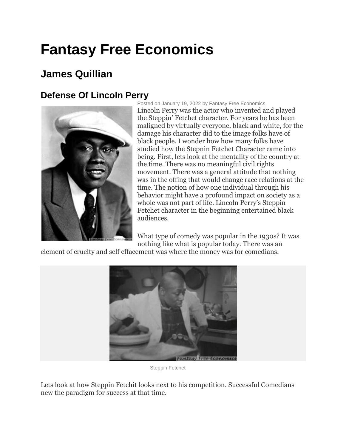## **Fantasy Free Economics**

## **James Quillian**

## **Defense Of Lincoln Perry**



Posted on [January 19, 2022](http://quillian.net/blog/?p=7771) by [Fantasy Free Economics](http://quillian.net/blog/author/james-quillian/) Lincoln Perry was the actor who invented and played the Steppin' Fetchet character. For years he has been maligned by virtually everyone, black and white, for the damage his character did to the image folks have of black people. I wonder how how many folks have studied how the Stepnin Fetchet Character came into being. First, lets look at the mentality of the country at the time. There was no meaningful civil rights movement. There was a general attitude that nothing was in the offing that would change race relations at the time. The notion of how one individual through his behavior might have a profound impact on society as a whole was not part of life. Lincoln Perry's Steppin Fetchet character in the beginning entertained black audiences.

What type of comedy was popular in the 1930s? It was nothing like what is popular today. There was an

element of cruelty and self effacement was where the money was for comedians.



Steppin Fetchet

Lets look at how Steppin Fetchit looks next to his competition. Successful Comedians new the paradigm for success at that time.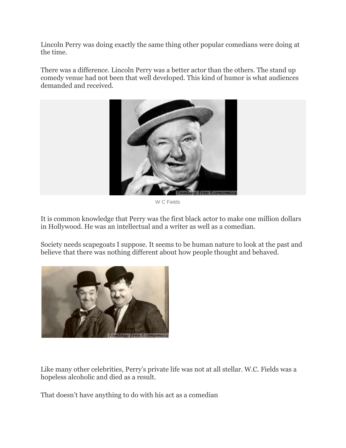Lincoln Perry was doing exactly the same thing other popular comedians were doing at the time.

There was a difference. Lincoln Perry was a better actor than the others. The stand up comedy venue had not been that well developed. This kind of humor is what audiences demanded and received.



W C Fields

It is common knowledge that Perry was the first black actor to make one million dollars in Hollywood. He was an intellectual and a writer as well as a comedian.

Society needs scapegoats I suppose. It seems to be human nature to look at the past and believe that there was nothing different about how people thought and behaved.



Like many other celebrities, Perry's private life was not at all stellar. W.C. Fields was a hopeless alcoholic and died as a result.

That doesn't have anything to do with his act as a comedian